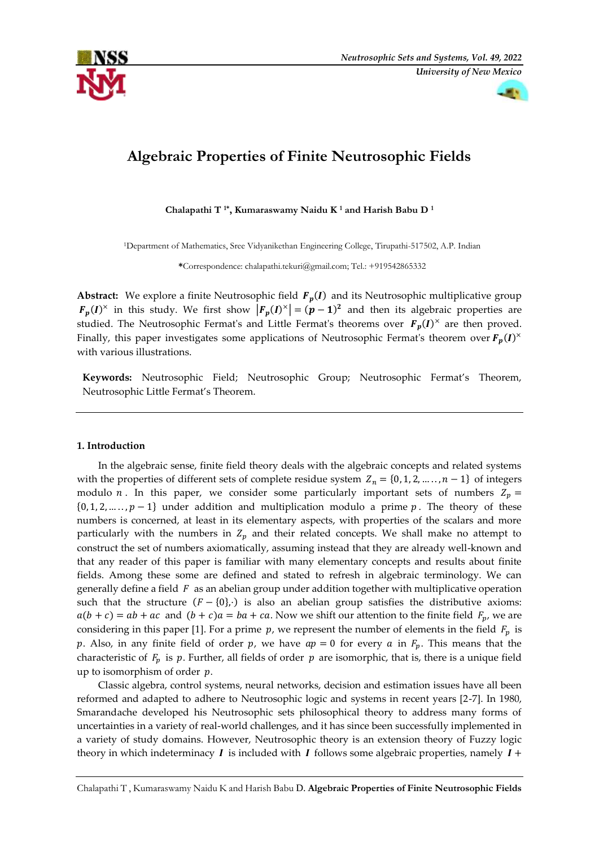

# **Algebraic Properties of Finite Neutrosophic Fields**

**Chalapathi T 1\*, Kumaraswamy Naidu K <sup>1</sup> and Harish Babu D <sup>1</sup>**

<sup>1</sup>Department of Mathematics, Sree Vidyanikethan Engineering College, Tirupathi-517502, A.P. Indian

**\***Correspondence: chalapathi.tekuri@gmail.com; Tel.: +919542865332

**Abstract:** We explore a finite Neutrosophic field  $F_p(I)$  and its Neutrosophic multiplicative group  $F_p(I)^{\times}$  in this study. We first show  $|F_p(I)^{\times}| = (p-1)^2$  and then its algebraic properties are studied. The Neutrosophic Fermat's and Little Fermat's theorems over  $F_p(I)^{\times}$  are then proved. Finally, this paper investigates some applications of Neutrosophic Fermat's theorem over  $F_p(I)^\times$ with various illustrations.

**Keywords:** Neutrosophic Field; Neutrosophic Group; Neutrosophic Fermat's Theorem, Neutrosophic Little Fermat's Theorem.

## **1. Introduction**

In the algebraic sense, finite field theory deals with the algebraic concepts and related systems with the properties of different sets of complete residue system  $Z_n = \{0, 1, 2, ..., n-1\}$  of integers modulo *n*. In this paper, we consider some particularly important sets of numbers  $Z_p =$  $\{0, 1, 2, \ldots, p-1\}$  under addition and multiplication modulo a prime p. The theory of these numbers is concerned, at least in its elementary aspects, with properties of the scalars and more particularly with the numbers in  $Z_p$  and their related concepts. We shall make no attempt to construct the set of numbers axiomatically, assuming instead that they are already well-known and that any reader of this paper is familiar with many elementary concepts and results about finite fields. Among these some are defined and stated to refresh in algebraic terminology. We can generally define a field  $F$  as an abelian group under addition together with multiplicative operation such that the structure  $(F - \{0\})$  is also an abelian group satisfies the distributive axioms:  $a(b + c) = ab + ac$  and  $(b + c)a = ba + ca$ . Now we shift our attention to the finite field  $F_p$ , we are considering in this paper [1]. For a prime  $p$ , we represent the number of elements in the field  $F_p$  is p. Also, in any finite field of order p, we have  $ap = 0$  for every a in  $F_p$ . This means that the characteristic of  $F_p$  is  $p$ . Further, all fields of order  $p$  are isomorphic, that is, there is a unique field up to isomorphism of order  $p$ .

Classic algebra, control systems, neural networks, decision and estimation issues have all been reformed and adapted to adhere to Neutrosophic logic and systems in recent years [2-7]. In 1980, Smarandache developed his Neutrosophic sets philosophical theory to address many forms of uncertainties in a variety of real-world challenges, and it has since been successfully implemented in a variety of study domains. However, Neutrosophic theory is an extension theory of Fuzzy logic theory in which indeterminacy  $\boldsymbol{I}$  is included with  $\boldsymbol{I}$  follows some algebraic properties, namely  $\boldsymbol{I}$  +

Chalapathi T , Kumaraswamy Naidu K and Harish Babu D. **Algebraic Properties of Finite Neutrosophic Fields**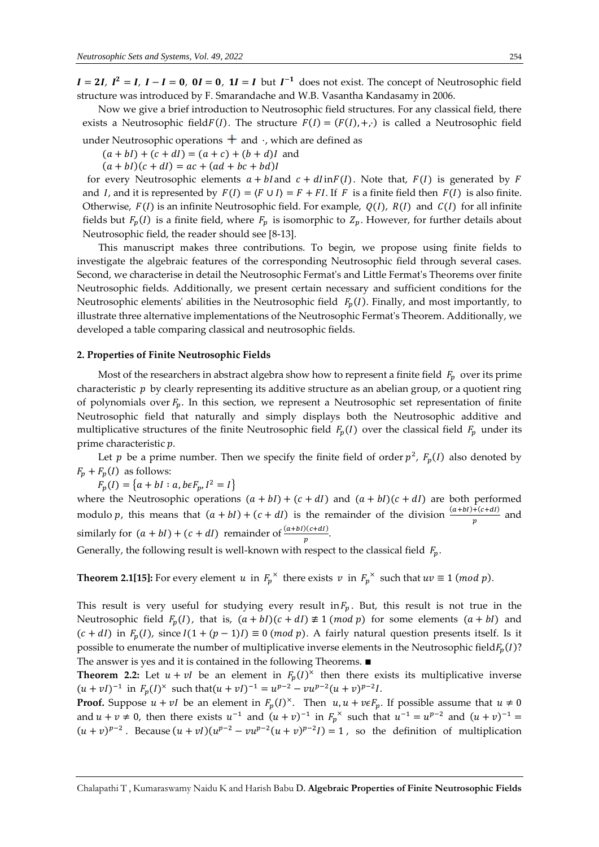$I = 2I$ ,  $I^2 = I$ ,  $I - I = 0$ ,  $0I = 0$ ,  $1I = I$  but  $I^{-1}$  does not exist. The concept of Neutrosophic field structure was introduced by F. Smarandache and W.B. Vasantha Kandasamy in 2006.

Now we give a brief introduction to Neutrosophic field structures. For any classical field, there exists a Neutrosophic field $F(I)$ . The structure  $F(I) = (F(I), +, \cdot)$  is called a Neutrosophic field

under Neutrosophic operations  $\pm$  and  $\cdot$ , which are defined as

 $(a + bl) + (c + dl) = (a + c) + (b + d)I$  and

 $(a + bl)(c + dl) = ac + (ad + bc + bd)l$ 

for every Neutrosophic elements  $a + bl$  and  $c + dl$  in  $F(I)$ . Note that,  $F(I)$  is generated by F and *I*, and it is represented by  $F(I) = \langle F \cup I \rangle = F + FI$ . If *F* is a finite field then  $F(I)$  is also finite. Otherwise,  $F(I)$  is an infinite Neutrosophic field. For example,  $Q(I)$ ,  $R(I)$  and  $C(I)$  for all infinite fields but  $F_p(I)$  is a finite field, where  $F_p$  is isomorphic to  $Z_p$ . However, for further details about Neutrosophic field, the reader should see [8-13].

This manuscript makes three contributions. To begin, we propose using finite fields to investigate the algebraic features of the corresponding Neutrosophic field through several cases. Second, we characterise in detail the Neutrosophic Fermat's and Little Fermat's Theorems over finite Neutrosophic fields. Additionally, we present certain necessary and sufficient conditions for the Neutrosophic elements' abilities in the Neutrosophic field  $F_p(I)$ . Finally, and most importantly, to illustrate three alternative implementations of the Neutrosophic Fermat's Theorem. Additionally, we developed a table comparing classical and neutrosophic fields.

### **2. Properties of Finite Neutrosophic Fields**

Most of the researchers in abstract algebra show how to represent a finite field  $F_p$  over its prime characteristic  $p$  by clearly representing its additive structure as an abelian group, or a quotient ring of polynomials over  $F_n$ . In this section, we represent a Neutrosophic set representation of finite Neutrosophic field that naturally and simply displays both the Neutrosophic additive and multiplicative structures of the finite Neutrosophic field  $F_p(I)$  over the classical field  $F_p$  under its prime characteristic  $p$ .

Let p be a prime number. Then we specify the finite field of order  $p^2$ ,  $F_p(I)$  also denoted by  $F_p + F_p(I)$  as follows:

$$
F_p(I) = \{a + bI : a, b \in F_p, I^2 = I\}
$$

where the Neutrosophic operations  $(a + bI) + (c + dI)$  and  $(a + bI)(c + dI)$  are both performed modulo p, this means that  $(a + bI) + (c + dI)$  is the remainder of the division  $\frac{(a+bI)+(c+dI)}{p}$  and similarly for  $(a + bI) + (c + dI)$  remainder of  $\frac{(a+bI)(c+di)}{p}$ .

Generally, the following result is well-known with respect to the classical field  $F_n$ .

**Theorem 2.1[15]:** For every element  $u$  in  $F_p^{\times}$  there exists  $v$  in  $F_p^{\times}$  such that  $uv \equiv 1 \pmod{p}$ .

This result is very useful for studying every result in  $F_n$ . But, this result is not true in the Neutrosophic field  $F_p(I)$ , that is,  $(a + bI)(c + dI) \neq 1 \pmod{p}$  for some elements  $(a + bI)$  and  $(c + dI)$  in  $F_p(I)$ , since  $I(1 + (p - 1)I) \equiv 0 \pmod{p}$ . A fairly natural question presents itself. Is it possible to enumerate the number of multiplicative inverse elements in the Neutrosophic field $F_p(I)$ ? The answer is yes and it is contained in the following Theorems. ∎

**Theorem 2.2:** Let  $u + vI$  be an element in  $F_p(I)^{\times}$  then there exists its multiplicative inverse  $(u + vI)^{-1}$  in  $F_p(I)^{\times}$  such that  $(u + vI)^{-1} = u^{p-2} - vu^{p-2}(u + v)^{p-2}I$ .

**Proof.** Suppose  $u + vI$  be an element in  $F_p(I)^{\times}$ . Then  $u, u + v \in F_p$ . If possible assume that  $u \neq 0$ and  $u + v \neq 0$ , then there exists  $u^{-1}$  and  $(u + v)^{-1}$  in  $F_p^{\times}$  such that  $u^{-1} = u^{p-2}$  and  $(u + v)^{-1} =$  $(u + v)^{p-2}$ . Because  $(u + vI)(u^{p-2} - vu^{p-2}(u + v)^{p-2}I) = 1$ , so the definition of multiplication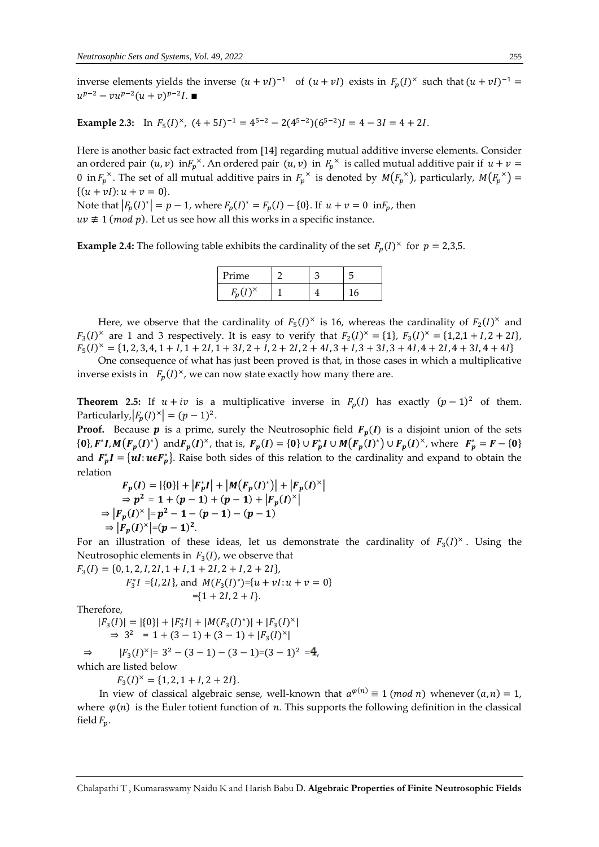inverse elements yields the inverse  $(u + vI)^{-1}$  of  $(u + vI)$  exists in  $F_p(I)^{\times}$  such that  $(u + vI)^{-1}$  =  $u^{p-2} - vu^{p-2}(u+v)^{p-2}I$ .

**Example 2.3:** In  $F_5(I)^{\times}$ ,  $(4+5I)^{-1} = 4^{5-2} - 2(4^{5-2})(6^{5-2})I = 4 - 3I = 4 + 2I$ .

Here is another basic fact extracted from [14] regarding mutual additive inverse elements. Consider an ordered pair  $(u, v)$  in $F_p^{\times}$ . An ordered pair  $(u, v)$  in  $F_p^{\times}$  is called mutual additive pair if  $u + v =$ 0 in  $F_p^{\times}$ . The set of all mutual additive pairs in  $F_p^{\times}$  is denoted by  $M(F_p^{\times})$ , particularly,  $M(F_p^{\times})$  =  $\{(u + vI): u + v = 0\}.$ 

Note that  $|F_p(I)^*| = p - 1$ , where  $F_p(I)^* = F_p(I) - \{0\}$ . If  $u + v = 0$  in  $F_p$ , then

 $uv \not\equiv 1 \pmod{p}$ . Let us see how all this works in a specific instance.

**Example 2.4:** The following table exhibits the cardinality of the set  $F_p(I)^{\times}$  for  $p = 2,3,5$ .

| Prime           |  |  |
|-----------------|--|--|
| $F(I)^{\times}$ |  |  |

Here, we observe that the cardinality of  $F_5(I)^{\times}$  is 16, whereas the cardinality of  $F_2(I)^{\times}$  and  $F_3(I)^{\times}$  are 1 and 3 respectively. It is easy to verify that  $F_2(I)^{\times} = \{1\}$ ,  $F_3(I)^{\times} = \{1,2,1 + I, 2 + 2I\}$ ,  $F_5(I)^{\times} = \{1, 2, 3, 4, 1 + I, 1 + 2I, 1 + 3I, 2 + I, 2 + 2I, 2 + 4I, 3 + I, 3 + 3I, 3 + 4I, 4 + 2I, 4 + 3I, 4 + 4I\}$ 

One consequence of what has just been proved is that, in those cases in which a multiplicative inverse exists in  $F_p(I)^{\times}$ , we can now state exactly how many there are.

**Theorem 2.5:** If  $u + iv$  is a multiplicative inverse in  $F_p(l)$  has exactly  $(p-1)^2$  of them. Particularly,  $|F_p(I)^{\times}| = (p-1)^2$ .

**Proof.** Because  $p$  is a prime, surely the Neutrosophic field  $F_p(I)$  is a disjoint union of the sets  ${0}$ ,  $F^*I, M(F_p(I)^*)$  and  $F_p(I)^*$ , that is,  $F_p(I) = {0} \cup F_p^*I \cup M(F_p(I)^*) \cup F_p(I)^*$ , where  $F_p^* = F - {0}$ and  $F_p^*I = \{ul : ueF_p^*\}$ . Raise both sides of this relation to the cardinality and expand to obtain the relation

$$
F_p(I) = |\{0\}| + |F_p^*I| + |M(F_p(I)^*)| + |F_p(I)^*|
$$
  
\n
$$
\Rightarrow p^2 = 1 + (p - 1) + (p - 1) + |F_p(I)^*|
$$
  
\n
$$
\Rightarrow |F_p(I)^*| = p^2 - 1 - (p - 1) - (p - 1)
$$
  
\n
$$
\Rightarrow |F_p(I)^*| = (p - 1)^2.
$$

For an illustration of these ideas, let us demonstrate the cardinality of  $F_3(I)^{\times}$ . Using the Neutrosophic elements in  $F_3(I)$ , we observe that

 $F_3(I) = \{0, 1, 2, I, 2I, 1 + I, 1 + 2I, 2 + I, 2 + 2I\},\$  $F_3^*I = \{I, 2I\}$ , and  $M(F_3(I)^*) = \{u + vI : u + v = 0\}$  $=\{1 + 2I, 2 + I\}.$ 

Therefore,

⇒

 $|F_3(I)| = |\{0\}| + |F_3^*I| + |M(F_3(I)^*)| + |F_3(I)^*|$  $\Rightarrow$  3<sup>2</sup> = 1 + (3 - 1) + (3 - 1) + | $F_3(I)^{\times}$ | ⇒  $|F_3(I)^{\times}| = 3^2 - (3 - 1) - (3 - 1) = (3 - 1)^2 = 4,$ 

which are listed below

 $F_3(I)^{\times} = \{1, 2, 1 + I, 2 + 2I\}.$ 

In view of classical algebraic sense, well-known that  $a^{\varphi(n)} \equiv 1 \pmod{n}$  whenever  $(a, n) = 1$ , where  $\varphi(n)$  is the Euler totient function of n. This supports the following definition in the classical field  $F_n$ .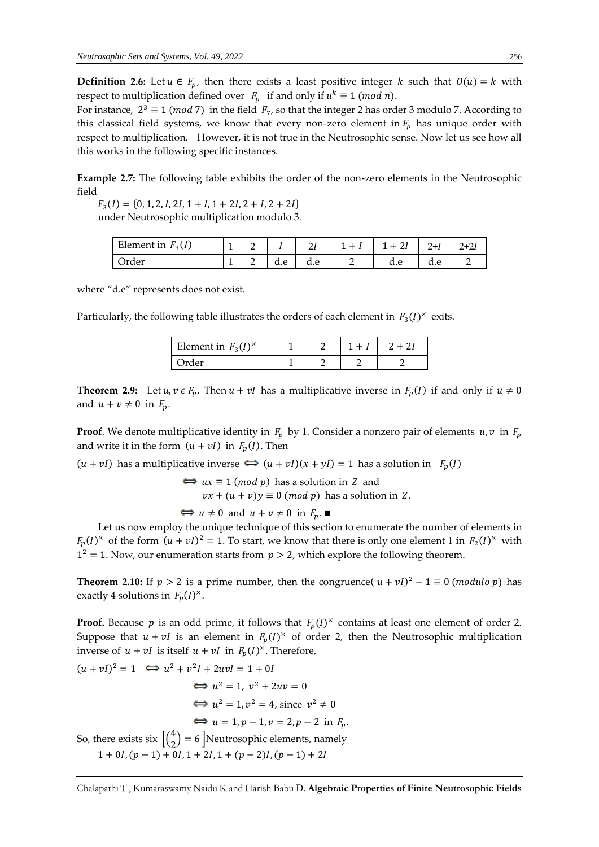**Definition 2.6:** Let  $u \in F_p$ , then there exists a least positive integer k such that  $O(u) = k$  with respect to multiplication defined over  $F_p$  if and only if  $u^k \equiv 1 \pmod{n}$ .

For instance,  $2^3 \equiv 1 \pmod{7}$  in the field  $F_7$ , so that the integer 2 has order 3 modulo 7. According to this classical field systems, we know that every non-zero element in  $F_p$  has unique order with respect to multiplication. However, it is not true in the Neutrosophic sense. Now let us see how all this works in the following specific instances.

**Example 2.7:** The following table exhibits the order of the non-zero elements in the Neutrosophic field

 $F_3(I) = \{0, 1, 2, I, 2I, 1 + I, 1 + 2I, 2 + I, 2 + 2I\}$ under Neutrosophic multiplication modulo 3.

| Element in $F_3(I)$ | ۰        |          |     | ∸   | ᅩ<br>- | $+$ 41 | $^{1+1}$ | ′+∠. |
|---------------------|----------|----------|-----|-----|--------|--------|----------|------|
| Order               | <b>.</b> | <u>_</u> | d.e | a.e |        | a.e    | u.c      |      |

where "d.e" represents does not exist.

Particularly, the following table illustrates the orders of each element in  $F_3(I)^{\times}$  exits.

| Element in $F_3(I)^{\times}$ |  |  |
|------------------------------|--|--|
| )rder                        |  |  |

**Theorem 2.9:** Let  $u, v \in F_p$ . Then  $u + vI$  has a multiplicative inverse in  $F_p(I)$  if and only if  $u \neq 0$ and  $u + v \neq 0$  in  $F_p$ .

**Proof.** We denote multiplicative identity in  $F_p$  by 1. Consider a nonzero pair of elements  $u, v$  in  $F_p$ and write it in the form  $(u + vI)$  in  $F_p(I)$ . Then

 $(u + vI)$  has a multiplicative inverse  $\Leftrightarrow (u + vI)(x + yI) = 1$  has a solution in  $F_p(I)$ 

 $\Leftrightarrow$   $ux \equiv 1 \pmod{p}$  has a solution in Z and  $vx + (u + v)y \equiv 0 \pmod{p}$  has a solution in Z.

 $\Leftrightarrow u \neq 0$  and  $u + v \neq 0$  in  $F_p$ .

Let us now employ the unique technique of this section to enumerate the number of elements in  $F_p(I)^{\times}$  of the form  $(u + vI)^2 = 1$ . To start, we know that there is only one element 1 in  $F_2(I)^{\times}$  with  $1^2 = 1$ . Now, our enumeration starts from  $p > 2$ , which explore the following theorem.

**Theorem 2.10:** If  $p > 2$  is a prime number, then the congruence( $u + vI$ )<sup>2</sup> – 1  $\equiv 0$  (*modulo p*) has exactly 4 solutions in  $F_p(I)^{\times}$ .

**Proof.** Because p is an odd prime, it follows that  $F_p(I)^{\times}$  contains at least one element of order 2. Suppose that  $u + vI$  is an element in  $F_p(I)^{\times}$  of order 2, then the Neutrosophic multiplication inverse of  $u + vI$  is itself  $u + vI$  in  $F_p(I)^{\times}$ . Therefore,

 $(u + vI)^2 = 1 \iff u^2 + v^2I + 2uvI = 1 + 0I$  $\Leftrightarrow u^2 = 1, v^2 + 2uv = 0$  $\implies u^2 = 1, v^2 = 4$ , since  $v^2 \neq 0$  $\iff$   $u = 1, p - 1, v = 2, p - 2$  in  $F_n$ . So, there exists six  $\begin{bmatrix} 4 \\ 2 \end{bmatrix}$  $\binom{4}{2}$  = 6 Meutrosophic elements, namely  $1 + 0I$ ,  $(p - 1) + 0I$ ,  $1 + 2I$ ,  $1 + (p - 2)I$ ,  $(p - 1) + 2I$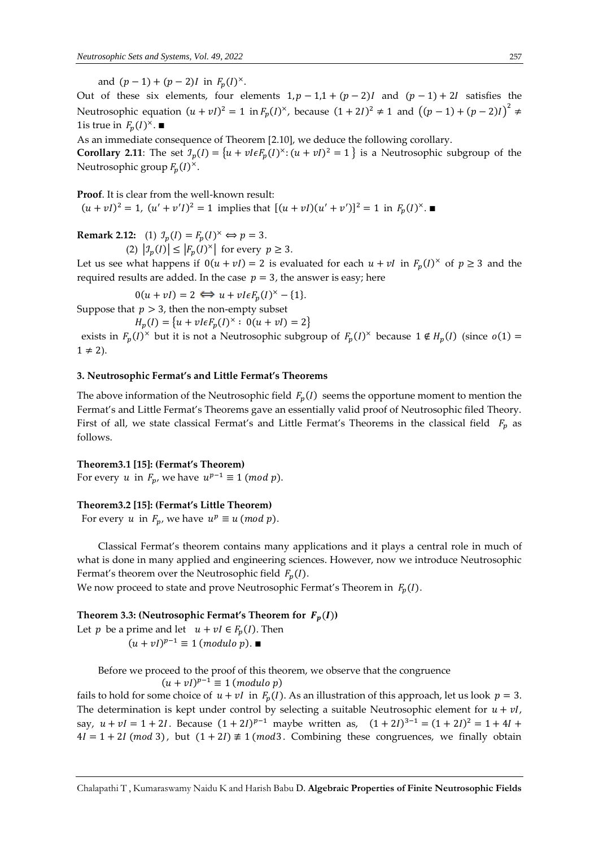and  $(p-1) + (p-2)I$  in  $F_p(I)^{\times}$ .

Out of these six elements, four elements  $1, p - 1, 1 + (p - 2)I$  and  $(p - 1) + 2I$  satisfies the Neutrosophic equation  $(u + vI)^2 = 1$  in  $F_p(I)^{\times}$ , because  $(1 + 2I)^2 \neq 1$  and  $((p - 1) + (p - 2)I)^2 \neq 1$ 1 is true in  $F_p(I)^{\times}$ . ■

As an immediate consequence of Theorem [2.10], we deduce the following corollary.

**Corollary 2.11**: The set  $\mathcal{I}_p(I) = \{u + v \in \mathcal{F}_p(I)^{\times} : (u + vI)^2 = 1\}$  is a Neutrosophic subgroup of the Neutrosophic group  $F_p(I)^{\times}$ .

**Proof**. It is clear from the well-known result:  $(u + vI)^2 = 1$ ,  $(u' + v'I)^2 = 1$  implies that  $[(u + vI)(u' + v')]^2 = 1$  in  $F_p(I)^{\times}$ .

**Remark 2.12:** (1)  $\mathcal{I}_p(I) = F_p(I)^{\times} \Longleftrightarrow p = 3.$ 

(2)  $|\mathcal{I}_p(I)| \leq |F_p(I)^{\times}|$  for every  $p \geq 3$ .

Let us see what happens if  $0(u + vI) = 2$  is evaluated for each  $u + vI$  in  $F_p(I)^{\times}$  of  $p \ge 3$  and the required results are added. In the case  $p = 3$ , the answer is easy; here

 $0(u + vI) = 2 \iff u + vI\epsilon F_p(I)^{\times} - \{1\}.$ 

Suppose that  $p > 3$ , then the non-empty subset

 $H_p(I) = \{ u + vI\epsilon F_p(I)^{\times} : 0(u + vI) = 2 \}$ 

exists in  $F_p(I)^{\times}$  but it is not a Neutrosophic subgroup of  $F_p(I)^{\times}$  because  $1 \notin H_p(I)$  (since  $o(1) =$  $1 \neq 2$ ).

## **3. Neutrosophic Fermat's and Little Fermat's Theorems**

The above information of the Neutrosophic field  $F_p(I)$  seems the opportune moment to mention the Fermat's and Little Fermat's Theorems gave an essentially valid proof of Neutrosophic filed Theory. First of all, we state classical Fermat's and Little Fermat's Theorems in the classical field  $F_p$  as follows.

## **Theorem3.1 [15]: (Fermat's Theorem)**

For every u in  $F_p$ , we have  $u^{p-1} \equiv 1 \pmod{p}$ .

## **Theorem3.2 [15]: (Fermat's Little Theorem)**

For every u in  $F_p$ , we have  $u^p \equiv u \pmod{p}$ .

Classical Fermat's theorem contains many applications and it plays a central role in much of what is done in many applied and engineering sciences. However, now we introduce Neutrosophic Fermat's theorem over the Neutrosophic field  $F_p(I)$ .

We now proceed to state and prove Neutrosophic Fermat's Theorem in  $F_n(I)$ .

## **Theorem 3.3: (Neutrosophic Fermat's Theorem for**  $F_p(I)$ **)**

Let *p* be a prime and let  $u + vl \in F_p(I)$ . Then  $(u + vI)^{p-1} \equiv 1 \ (modulo \ p).$ 

Before we proceed to the proof of this theorem, we observe that the congruence

 $(u + vI)^{p-1} \equiv 1 \pmod{p}$ 

fails to hold for some choice of  $u + vI$  in  $F_p(I)$ . As an illustration of this approach, let us look  $p = 3$ . The determination is kept under control by selecting a suitable Neutrosophic element for  $u + vI$ , say,  $u + vI = 1 + 2I$ . Because  $(1 + 2I)^{p-1}$  maybe written as,  $(1 + 2I)^{3-1} = (1 + 2I)^2 = 1 + 4I +$  $4I = 1 + 2I \ (mod\ 3)$ , but  $(1 + 2I) \neq 1 \ (mod\ 3)$ . Combining these congruences, we finally obtain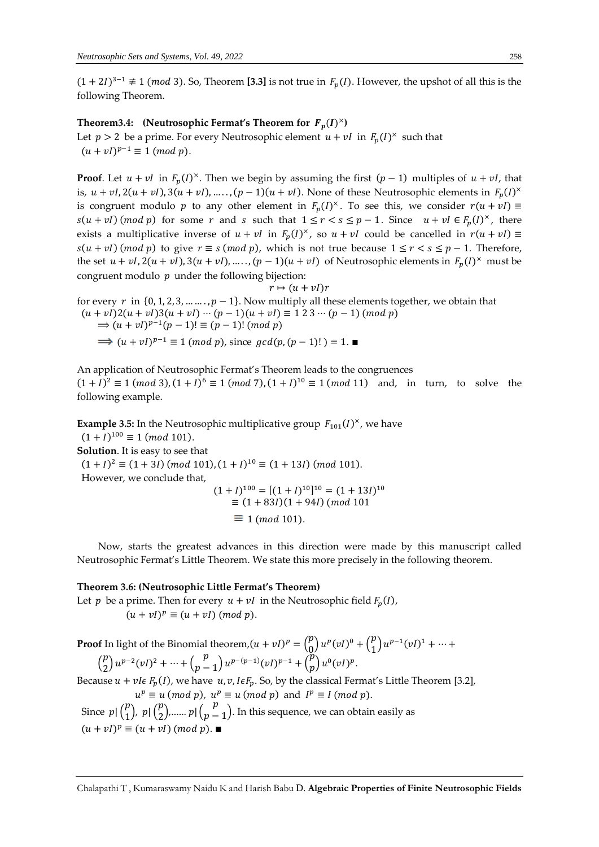$(1 + 2I)^{3-1} \not\equiv 1 \pmod{3}$ . So, Theorem [3.3] is not true in  $F_p(I)$ . However, the upshot of all this is the following Theorem.

## Theorem3.4: (Neutrosophic Fermat's Theorem for  $F_p(I)^{\times}$ )

Let  $p > 2$  be a prime. For every Neutrosophic element  $u + vI$  in  $F_p(I)^{\times}$  such that  $(u + vI)^{p-1} \equiv 1 \pmod{p}.$ 

**Proof**. Let  $u + vI$  in  $F_p(I)^{\times}$ . Then we begin by assuming the first  $(p - 1)$  multiples of  $u + vI$ , that is,  $u + vI$ ,  $2(u + vI)$ ,  $3(u + vI)$ , .....,  $(p - 1)(u + vI)$ . None of these Neutrosophic elements in  $F_p(I)^{\times}$ is congruent modulo p to any other element in  $F_p(I)^{\times}$ . To see this, we consider  $r(u + vl) \equiv$  $s(u + vI)$  (*mod p*) for some *r* and *s* such that  $1 \le r < s \le p - 1$ . Since  $u + vI \in F_p(I)^{\times}$ , there exists a multiplicative inverse of  $u + vI$  in  $F_p(I)^{\times}$ , so  $u + vI$  could be cancelled in  $r(u + vI) \equiv$  $s(u + vl)$  (mod p) to give  $r \equiv s \pmod{p}$ , which is not true because  $1 \le r < s \le p - 1$ . Therefore, the set  $u + vI$ ,  $2(u + vI)$ ,  $3(u + vI)$ , .....,  $(p - 1)(u + vI)$  of Neutrosophic elements in  $F_p(I)^{\times}$  must be congruent modulo  $p$  under the following bijection:

 $r \mapsto (u + vI)r$ for every  $r$  in  $\{0, 1, 2, 3, \dots, p-1\}$ . Now multiply all these elements together, we obtain that  $(u + vI)2(u + vI)3(u + vI) \cdots (p - 1)(u + vI) \equiv 1 2 3 \cdots (p - 1) (mod p)$ ⇒  $(u + vI)^{p-1}(p - 1)! \equiv (p - 1)! (mod p)$  $(u + vl)^{p-1} \equiv 1 \pmod{p}$ , since  $gcd(p, (p - 1)!) = 1$ .

An application of Neutrosophic Fermat's Theorem leads to the congruences  $(1 + I)^2 \equiv 1 \pmod{3}$ ,  $(1 + I)^6 \equiv 1 \pmod{7}$ ,  $(1 + I)^{10} \equiv 1 \pmod{11}$  and, in turn, to solve the following example.

**Example 3.5:** In the Neutrosophic multiplicative group  $F_{101}(I)^{\times}$ , we have  $(1 + I)^{100} \equiv 1 \ (mod \ 101).$ **Solution**. It is easy to see that  $(1 + I)^2 \equiv (1 + 3I)$  (mod 101),  $(1 + I)^{10} \equiv (1 + 13I)$  (mod 101). However, we conclude that,  $(1 + I)^{100} = [(1 + I)^{10}]^{10} = (1 + 13I)^{10}$  $\equiv$  (1 + 83*I*)(1 + 94*I*) (*mod* 101

 $\equiv$  1 (mod 101).

Now, starts the greatest advances in this direction were made by this manuscript called Neutrosophic Fermat's Little Theorem. We state this more precisely in the following theorem.

## **Theorem 3.6: (Neutrosophic Little Fermat's Theorem)**

Let *p* be a prime. Then for every  $u + vI$  in the Neutrosophic field  $F_p(I)$ ,

 $(u + vI)^p \equiv (u + vI) \pmod{p}.$ 

**Proof** In light of the Binomial theorem, 
$$
(u + vI)^p = {p \choose 0} u^p (vI)^0 + {p \choose 1} u^{p-1} (vI)^1 + \cdots + {p \choose 2} u^{p-2} (vI)^2 + \cdots + {p \choose p-1} u^{p-(p-1)} (vI)^{p-1} + {p \choose p} u^0 (vI)^p
$$
.

Because  $u + vI\epsilon F_p(I)$ , we have  $u, v, I\epsilon F_p$ . So, by the classical Fermat's Little Theorem [3.2],  $u^p \equiv u \pmod{p}$ ,  $u^p \equiv u \pmod{p}$  and  $I^p \equiv I \pmod{p}$ .

Since  $p \mid {p \choose 1}$  $\binom{p}{1}$ ,  $p \mid \binom{p}{2}$  $\binom{p}{2}$ ,......  $p \mid \binom{p}{p}$  $p-1$ ). In this sequence, we can obtain easily as  $(u + vI)^p \equiv (u + vI) \pmod{p}$ .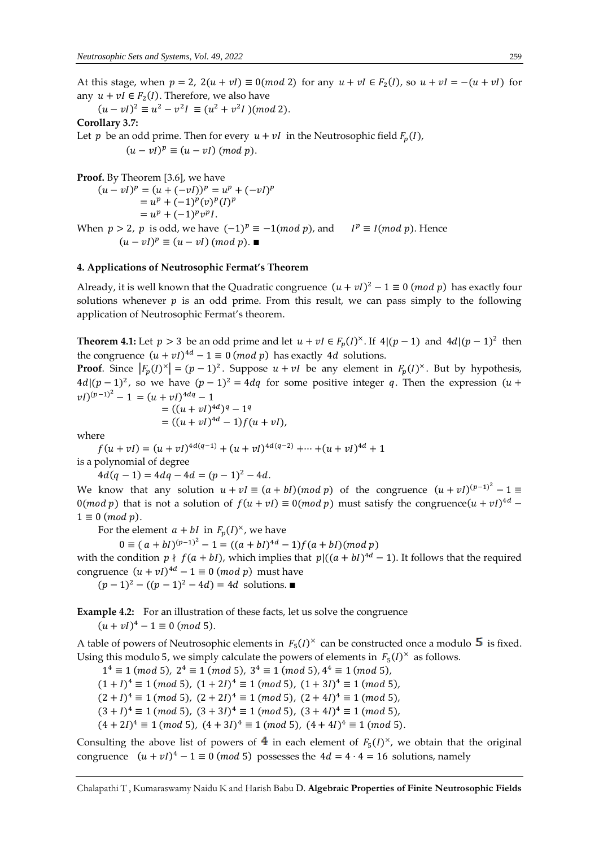At this stage, when  $p = 2$ ,  $2(u + vI) \equiv 0 \pmod{2}$  for any  $u + vI \in F_2(I)$ , so  $u + vI = -(u + vI)$  for any  $u + vI \in F_2(I)$ . Therefore, we also have

 $(u - vI)^2 \equiv u^2 - v^2I \equiv (u^2 + v^2I)(mod 2).$ 

## **Corollary 3.7:**

Let *p* be an odd prime. Then for every  $u + vI$  in the Neutrosophic field  $F_p(I)$ ,

 $(u - vI)^p \equiv (u - vI) \pmod{p}.$ 

**Proof.** By Theorem [3.6], we have

$$
(u - vI)^p = (u + (-vI))^p = u^p + (-vI)^p
$$
  
=  $u^p + (-1)^p (v)^p (I)^p$   
=  $u^p + (-1)^p v^p I$ .  
When  $p > 2$ , p is odd, we have  $(-1)^p \equiv -1 \pmod{p}$ , and  $I^p \equiv I \pmod{p}$ . Hence  
 $(u - vI)^p \equiv (u - vI) \pmod{p}$ .

## **4. Applications of Neutrosophic Fermat's Theorem**

Already, it is well known that the Quadratic congruence  $(u + vl)^2 - 1 \equiv 0 \pmod{p}$  has exactly four solutions whenever  $p$  is an odd prime. From this result, we can pass simply to the following application of Neutrosophic Fermat's theorem.

**Theorem 4.1:** Let  $p > 3$  be an odd prime and let  $u + vI \in F_p(I)^{\times}$ . If  $4|(p-1)$  and  $4d|(p-1)^2$  then the congruence  $(u + vI)^{4d} - 1 \equiv 0 \pmod{p}$  has exactly 4*d* solutions.

**Proof**. Since  $|F_p(I)^{\times}| = (p-1)^2$ . Suppose  $u + vI$  be any element in  $F_p(I)^{\times}$ . But by hypothesis,  $4d/(p-1)^2$ , so we have  $(p-1)^2 = 4dq$  for some positive integer q. Then the expression  $(u +$  $(vI)^{(p-1)^2} - 1 = (u + vI)^{4dq} - 1$ 

 $vI)$ ,

$$
= ((u + vI)^{4d})^{q} - 1^{q}
$$
  
= ((u + vI)<sup>4d</sup> - 1)*f*(u +

where

 $f(u + vI) = (u + vI)^{4d(q-1)} + (u + vI)^{4d(q-2)} + \cdots + (u + vI)^{4d} + 1$ is a polynomial of degree

 $4d(q-1) = 4dq - 4d = (p-1)^2 - 4d.$ 

We know that any solution  $u + vI \equiv (a + bI) (mod p)$  of the congruence  $(u + vI)^{(p-1)^2} - 1 \equiv$ 0(*mod p*) that is not a solution of  $f(u + vI) \equiv 0 \pmod{p}$  must satisfy the congruence $(u + vI)^{4d}$  –  $1 \equiv 0 \pmod{p}$ .

For the element  $a + bI$  in  $F_p(I)^{\times}$ , we have

 $0 \equiv (a + bI)^{(p-1)^2} - 1 = ((a + bI)^{4d} - 1)f(a + bI) (mod p)$ 

with the condition  $p \nmid f(a + b)$ , which implies that  $p|((a + bI)^{4d} - 1)$ . It follows that the required congruence  $(u + vI)^{4d} - 1 \equiv 0 \pmod{p}$  must have

 $(p-1)^2 - ((p-1)^2 - 4d) = 4d$  solutions. ■

**Example 4.2:** For an illustration of these facts, let us solve the congruence

 $(u + vI)^4 - 1 \equiv 0 \ (mod \ 5).$ 

A table of powers of Neutrosophic elements in  $F_5(I)^{\times}$  can be constructed once a modulo  $\,5\,$  is fixed. Using this modulo 5, we simply calculate the powers of elements in  $F_5(I)^{\times}$  as follows.

 $1^4 \equiv 1 \ (mod \ 5), \ 2^4 \equiv 1 \ (mod \ 5), \ 3^4 \equiv 1 \ (mod \ 5), 4^4 \equiv 1 \ (mod \ 5),$  $(1 + I)^4 \equiv 1 \pmod{5}$ ,  $(1 + 2I)^4 \equiv 1 \pmod{5}$ ,  $(1 + 3I)^4 \equiv 1 \pmod{5}$ ,  $(2 + I)^4 \equiv 1 \pmod{5}$ ,  $(2 + 2I)^4 \equiv 1 \pmod{5}$ ,  $(2 + 4I)^4 \equiv 1 \pmod{5}$ ,  $(3 + I)^4 \equiv 1 \pmod{5}$ ,  $(3 + 3I)^4 \equiv 1 \pmod{5}$ ,  $(3 + 4I)^4 \equiv 1 \pmod{5}$ ,  $(4+2I)^4 \equiv 1 \pmod{5}$ ,  $(4+3I)^4 \equiv 1 \pmod{5}$ ,  $(4+4I)^4 \equiv 1 \pmod{5}$ .

Consulting the above list of powers of  $4$  in each element of  $F_5(I)^{\times}$ , we obtain that the original congruence  $(u + vI)^4 - 1 \equiv 0 \pmod{5}$  possesses the  $4d = 4 \cdot 4 = 16$  solutions, namely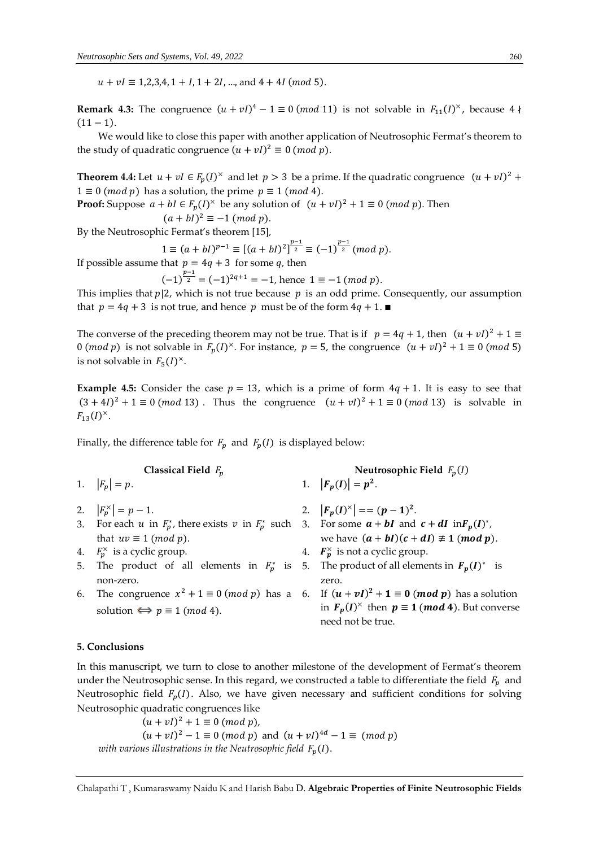$u + vI \equiv 1,2,3,4, 1 + I, 1 + 2I, ...,$  and  $4 + 4I$  (*mod* 5).

**Remark 4.3:** The congruence  $(u + vI)^4 - 1 \equiv 0 \pmod{11}$  is not solvable in  $F_{11}(I)^{\times}$ , because 4  $\nmid$  $(11 - 1)$ .

We would like to close this paper with another application of Neutrosophic Fermat's theorem to the study of quadratic congruence  $(u + vI)^2 \equiv 0 \pmod{p}$ .

**Theorem 4.4:** Let  $u + vI \in F_p(I)^{\times}$  and let  $p > 3$  be a prime. If the quadratic congruence  $(u + vI)^2$  +  $1 \equiv 0 \pmod{p}$  has a solution, the prime  $p \equiv 1 \pmod{4}$ .

**Proof:** Suppose  $a + bl \in F_p(I)^{\times}$  be any solution of  $(u + vl)^2 + 1 \equiv 0 \pmod{p}$ . Then  $(a + bl)^2 \equiv -1 \pmod{p}.$ 

By the Neutrosophic Fermat's theorem [15],

$$
1 \equiv (a + bI)^{p-1} \equiv [(a + bI)^2]^{p-1 \over 2} \equiv (-1)^{p-1 \over 2} \pmod{p}.
$$

If possible assume that  $p = 4q + 3$  for some q, then

 $(-1)^{\frac{p-1}{2}} = (-1)^{2q+1} = -1$ , hence  $1 \equiv -1 \pmod{p}$ .

This implies that  $p/2$ , which is not true because  $p$  is an odd prime. Consequently, our assumption that  $p = 4q + 3$  is not true, and hence p must be of the form  $4q + 1$ .

The converse of the preceding theorem may not be true. That is if  $p = 4q + 1$ , then  $(u + vI)^2 + 1 \equiv$ 0 (*mod p*) is not solvable in  $F_p(I)^{\times}$ . For instance,  $p = 5$ , the congruence  $(u + vI)^2 + 1 \equiv 0 \pmod{5}$ is not solvable in  $F_5(I)^{\times}$ .

**Example 4.5:** Consider the case  $p = 13$ , which is a prime of form  $4q + 1$ . It is easy to see that  $(3 + 4*I*)<sup>2</sup> + 1 \equiv 0 \pmod{13}$ . Thus the congruence  $(u + vI)<sup>2</sup> + 1 \equiv 0 \pmod{13}$  is solvable in  $F_{13}(I)^{\times}$ .

Finally, the difference table for  $F_p$  and  $F_p(I)$  is displayed below:

- 
- 2.  $|F_p^{\times}| = p 1.$  2.  $|F_p$
- that  $uv \equiv 1 \pmod{p}$ .
- 4.  $F_p^{\times}$  is a cyclic group. 4.  $F_p^{\times}$
- 5. The product of all elements in  $F_p^*$  is 5. The product of all elements in  $\mathbf{F}_p(I)^*$  is non-zero.
- solution  $\Leftrightarrow p \equiv 1 \pmod{4}$ .
- $\alpha$  **Classical Field**  $F_p$   $\beta$   $\beta$   $\beta$   $\gamma$ 1.  $|F_p| = p$ . 1.  $|F_p(I)| = p^2$ .
	- $(I)^{\times}$  = =  $(p-1)^2$ .
- 3. For each u in  $F_p^*$ , there exists v in  $F_p^*$  such 3. For some  $a + bI$  and  $c + dI$  in  $F_p(I)^*$ , we have  $(a + bI)(c + dI) \not\equiv 1 \pmod{p}$ .
	- 4.  $\mathbf{F}_{p}^{\times}$  is not a cyclic group.
		- zero.
- 6. The congruence  $x^2 + 1 \equiv 0 \pmod{p}$  has a 6. If  $(u + vI)^2 + 1 \equiv 0 \pmod{p}$  has a solution in  $F_p(I)^{\times}$  then  $p \equiv 1 \pmod{4}$ . But converse need not be true.

## **5. Conclusions**

In this manuscript, we turn to close to another milestone of the development of Fermat's theorem under the Neutrosophic sense. In this regard, we constructed a table to differentiate the field  $F_n$  and Neutrosophic field  $F_p(I)$ . Also, we have given necessary and sufficient conditions for solving Neutrosophic quadratic congruences like

 $(u + vI)^2 + 1 \equiv 0 \ (mod \ p),$  $(u + vI)^2 - 1 \equiv 0 \pmod{p}$  and  $(u + vI)^{4d} - 1 \equiv \pmod{p}$ *with various illustrations in the Neutrosophic field*  $F_p(I)$ .